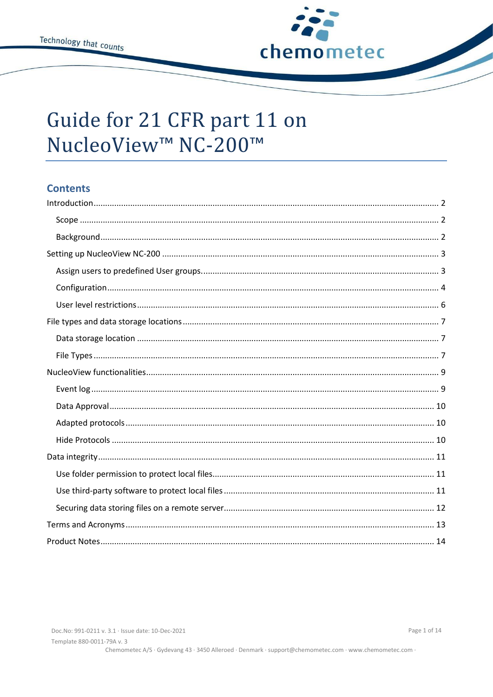

# Guide for 21 CFR part 11 on NucleoView™ NC-200™

# **Contents**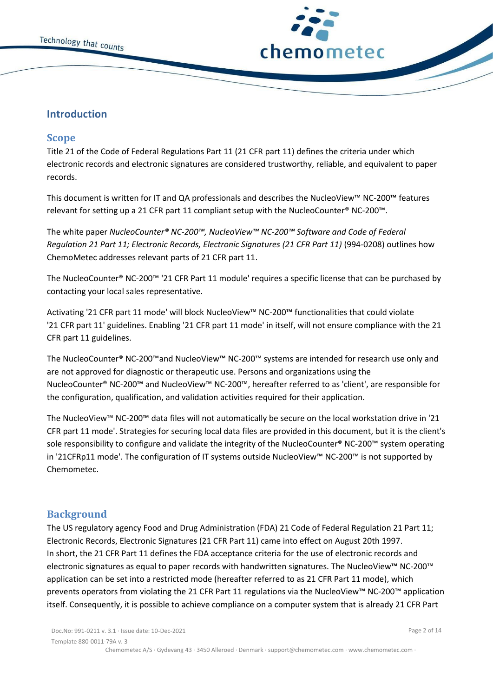

# <span id="page-1-0"></span>**Introduction**

# <span id="page-1-1"></span>**Scope**

Title 21 of the Code of Federal Regulations Part 11 (21 CFR part 11) defines the criteria under which electronic records and electronic signatures are considered trustworthy, reliable, and equivalent to paper records.

This document is written for IT and QA professionals and describes the NucleoView™ NC-200™ features relevant for setting up a 21 CFR part 11 compliant setup with the NucleoCounter® NC-200™.

The white paper *NucleoCounter® NC-200™, NucleoView™ NC-200™ Software and Code of Federal Regulation 21 Part 11; Electronic Records, Electronic Signatures (21 CFR Part 11)* (994-0208) outlines how ChemoMetec addresses relevant parts of 21 CFR part 11.

The NucleoCounter® NC-200™ '21 CFR Part 11 module' requires a specific license that can be purchased by contacting your local sales representative.

Activating '21 CFR part 11 mode' will block NucleoView™ NC-200™ functionalities that could violate '21 CFR part 11' guidelines. Enabling '21 CFR part 11 mode' in itself, will not ensure compliance with the 21 CFR part 11 guidelines.

The NucleoCounter® NC-200™and NucleoView™ NC-200™ systems are intended for research use only and are not approved for diagnostic or therapeutic use. Persons and organizations using the NucleoCounter® NC-200™ and NucleoView™ NC-200™, hereafter referred to as 'client', are responsible for the configuration, qualification, and validation activities required for their application.

The NucleoView™ NC-200™ data files will not automatically be secure on the local workstation drive in '21 CFR part 11 mode'. Strategies for securing local data files are provided in this document, but it is the client's sole responsibility to configure and validate the integrity of the NucleoCounter® NC-200™ system operating in '21CFRp11 mode'. The configuration of IT systems outside NucleoView™ NC-200™ is not supported by Chemometec.

# <span id="page-1-2"></span>**Background**

The US regulatory agency Food and Drug Administration (FDA) 21 Code of Federal Regulation 21 Part 11; Electronic Records, Electronic Signatures (21 CFR Part 11) came into effect on August 20th 1997. In short, the 21 CFR Part 11 defines the FDA acceptance criteria for the use of electronic records and electronic signatures as equal to paper records with handwritten signatures. The NucleoView™ NC-200™ application can be set into a restricted mode (hereafter referred to as 21 CFR Part 11 mode), which prevents operators from violating the 21 CFR Part 11 regulations via the NucleoView™ NC-200™ application itself. Consequently, it is possible to achieve compliance on a computer system that is already 21 CFR Part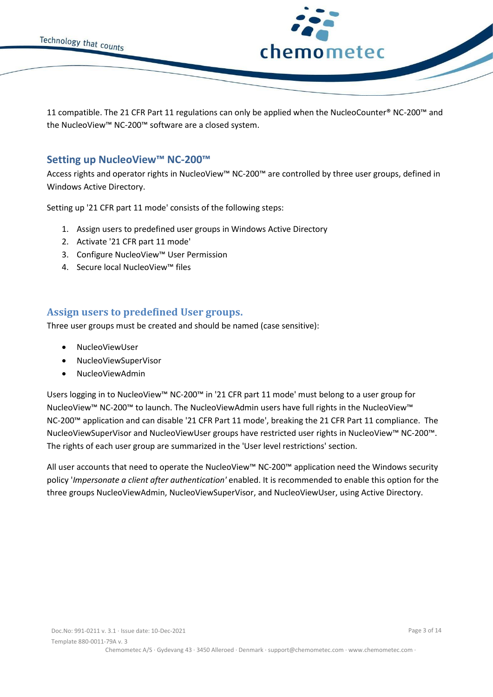

11 compatible. The 21 CFR Part 11 regulations can only be applied when the NucleoCounter® NC-200™ and the NucleoView™ NC-200™ software are a closed system.

# <span id="page-2-0"></span>**Setting up NucleoView™ NC-200™**

Access rights and operator rights in NucleoView™ NC-200™ are controlled by three user groups, defined in Windows Active Directory.

Setting up '21 CFR part 11 mode' consists of the following steps:

- 1. Assign users to predefined user groups in Windows Active Directory
- 2. Activate '21 CFR part 11 mode'
- 3. Configure NucleoView™ User Permission
- 4. Secure local NucleoView™ files

# <span id="page-2-1"></span>**Assign users to predefined User groups.**

Three user groups must be created and should be named (case sensitive):

- NucleoViewUser
- NucleoViewSuperVisor
- NucleoViewAdmin

Users logging in to NucleoView™ NC-200™ in '21 CFR part 11 mode' must belong to a user group for NucleoView™ NC-200™ to launch. The NucleoViewAdmin users have full rights in the NucleoView™ NC-200™ application and can disable '21 CFR Part 11 mode', breaking the 21 CFR Part 11 compliance. The NucleoViewSuperVisor and NucleoViewUser groups have restricted user rights in NucleoView™ NC-200™. The rights of each user group are summarized in the 'User level restrictions' section.

All user accounts that need to operate the NucleoView™ NC-200™ application need the Windows security policy '*Impersonate a client after authentication'* enabled. It is recommended to enable this option for the three groups NucleoViewAdmin, NucleoViewSuperVisor, and NucleoViewUser, using Active Directory.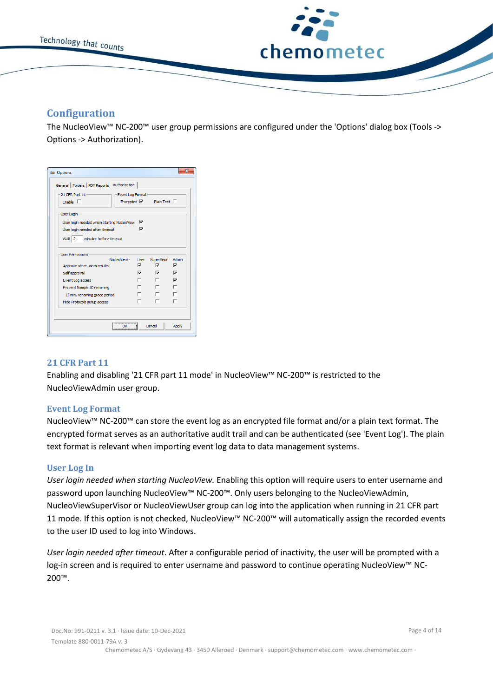

# <span id="page-3-0"></span>**Configuration**

The NucleoView™ NC-200™ user group permissions are configured under the 'Options' dialog box (Tools -> Options -> Authorization).

| 21 CFR Part 11                               | Event Log Format            |                   |                               |                         |
|----------------------------------------------|-----------------------------|-------------------|-------------------------------|-------------------------|
| Enable $\Box$                                |                             |                   | Encrypted $\nabla$ Plain Text |                         |
| User Login                                   |                             |                   |                               |                         |
| User login needed when starting NucleoView V |                             |                   |                               |                         |
| User login needed after timeout              |                             | ⊽                 |                               |                         |
| Wait 2<br>minutes before timeout             |                             |                   |                               |                         |
| <b>Liser Permissions</b>                     |                             |                   |                               |                         |
|                                              | NucleoView -                | <b>Liser</b><br>☞ | SuperVisor<br>⊽               | Admin<br>$\overline{v}$ |
| Approve other users results                  |                             | U                 | ⊽                             | ⊽                       |
| Self approval                                |                             |                   | п.                            | $\overline{v}$          |
| Event Log access                             |                             |                   |                               |                         |
| Prevent Sample ID renaming                   |                             |                   |                               |                         |
| 15 min. renaming grace period                |                             |                   |                               |                         |
|                                              | Hide Protocols setup access | ┍                 |                               |                         |

#### **21 CFR Part 11**

Enabling and disabling '21 CFR part 11 mode' in NucleoView™ NC-200™ is restricted to the NucleoViewAdmin user group.

#### **Event Log Format**

NucleoView™ NC-200™ can store the event log as an encrypted file format and/or a plain text format. The encrypted format serves as an authoritative audit trail and can be authenticated (see 'Event Log'). The plain text format is relevant when importing event log data to data management systems.

#### **User Log In**

*User login needed when starting NucleoView.* Enabling this option will require users to enter username and password upon launching NucleoView™ NC-200™. Only users belonging to the NucleoViewAdmin, NucleoViewSuperVisor or NucleoViewUser group can log into the application when running in 21 CFR part 11 mode. If this option is not checked, NucleoView™ NC-200™ will automatically assign the recorded events to the user ID used to log into Windows.

*User login needed after timeout*. After a configurable period of inactivity, the user will be prompted with a log-in screen and is required to enter username and password to continue operating NucleoView™ NC-200™.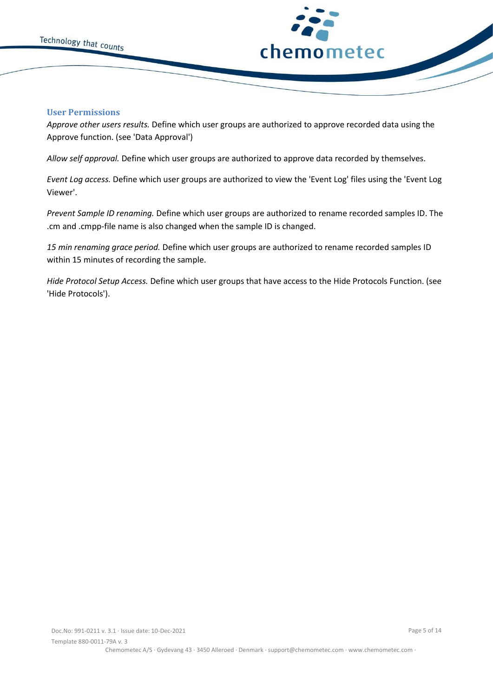



#### **User Permissions**

*Approve other users results.* Define which user groups are authorized to approve recorded data using the Approve function. (see 'Data Approval')

*Allow self approval.* Define which user groups are authorized to approve data recorded by themselves.

*Event Log access.* Define which user groups are authorized to view the 'Event Log' files using the 'Event Log Viewer'.

*Prevent Sample ID renaming.* Define which user groups are authorized to rename recorded samples ID. The .cm and .cmpp-file name is also changed when the sample ID is changed.

*15 min renaming grace period.* Define which user groups are authorized to rename recorded samples ID within 15 minutes of recording the sample.

*Hide Protocol Setup Access.* Define which user groups that have access to the Hide Protocols Function. (see 'Hide Protocols').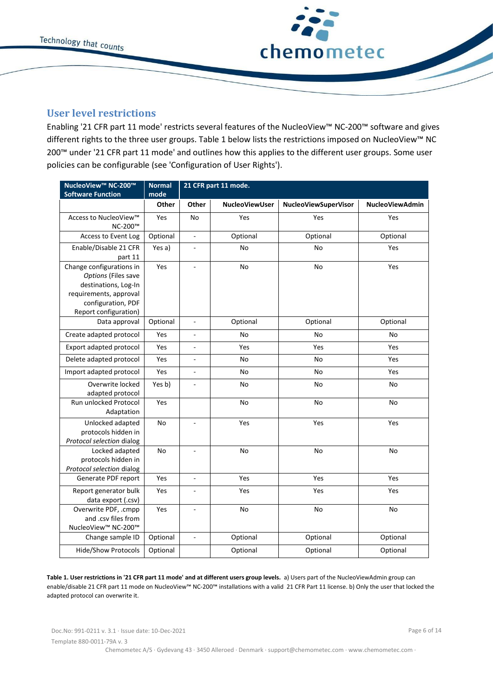

# <span id="page-5-0"></span>**User level restrictions**

Enabling '21 CFR part 11 mode' restricts several features of the NucleoView™ NC-200™ software and gives different rights to the three user groups. Table 1 below lists the restrictions imposed on NucleoView™ NC 200™ under '21 CFR part 11 mode' and outlines how this applies to the different user groups. Some user policies can be configurable (see 'Configuration of User Rights').

| NucleoView™ NC-200™<br><b>Software Function</b>                                                                                                  | <b>Normal</b><br>mode | 21 CFR part 11 mode. |                       |                      |                        |
|--------------------------------------------------------------------------------------------------------------------------------------------------|-----------------------|----------------------|-----------------------|----------------------|------------------------|
|                                                                                                                                                  | Other                 | Other                | <b>NucleoViewUser</b> | NucleoViewSuperVisor | <b>NucleoViewAdmin</b> |
| Access to NucleoView™<br>NC-200™                                                                                                                 | Yes                   | No                   | Yes                   | Yes                  | Yes                    |
| Access to Event Log                                                                                                                              | Optional              | ÷,                   | Optional              | Optional             | Optional               |
| Enable/Disable 21 CFR<br>part 11                                                                                                                 | Yes a)                | $\blacksquare$       | No                    | No                   | Yes                    |
| Change configurations in<br>Options (Files save<br>destinations, Log-In<br>requirements, approval<br>configuration, PDF<br>Report configuration) | Yes                   | ÷,                   | No                    | No                   | Yes                    |
| Data approval                                                                                                                                    | Optional              | ÷,                   | Optional              | Optional             | Optional               |
| Create adapted protocol                                                                                                                          | Yes                   | ä,                   | No                    | No                   | No                     |
| Export adapted protocol                                                                                                                          | Yes                   | $\overline{a}$       | Yes                   | Yes                  | Yes                    |
| Delete adapted protocol                                                                                                                          | Yes                   | $\overline{a}$       | No                    | No                   | Yes                    |
| Import adapted protocol                                                                                                                          | Yes                   | ä,                   | No                    | No                   | Yes                    |
| Overwrite locked<br>adapted protocol                                                                                                             | Yes b)                | $\overline{a}$       | No                    | No                   | No                     |
| Run unlocked Protocol<br>Adaptation                                                                                                              | Yes                   |                      | <b>No</b>             | No                   | No                     |
| Unlocked adapted<br>protocols hidden in<br>Protocol selection dialog                                                                             | No                    |                      | Yes                   | Yes                  | Yes                    |
| Locked adapted<br>protocols hidden in<br>Protocol selection dialog                                                                               | No                    | ÷,                   | No                    | No                   | No                     |
| Generate PDF report                                                                                                                              | Yes                   | $\overline{a}$       | Yes                   | Yes                  | Yes                    |
| Report generator bulk<br>data export (.csv)                                                                                                      | Yes                   | ÷,                   | Yes                   | Yes                  | Yes                    |
| Overwrite PDF, .cmpp<br>and .csv files from<br>NucleoView™ NC-200™                                                                               | Yes                   | $\overline{a}$       | No                    | No                   | No                     |
| Change sample ID                                                                                                                                 | Optional              | $\overline{a}$       | Optional              | Optional             | Optional               |
| <b>Hide/Show Protocols</b>                                                                                                                       | Optional              |                      | Optional              | Optional             | Optional               |

**Table 1. User restrictions in '21 CFR part 11 mode' and at different users group levels.** a) Users part of the NucleoViewAdmin group can enable/disable 21 CFR part 11 mode on NucleoView™ NC-200™ installations with a valid 21 CFR Part 11 license. b) Only the user that locked the adapted protocol can overwrite it.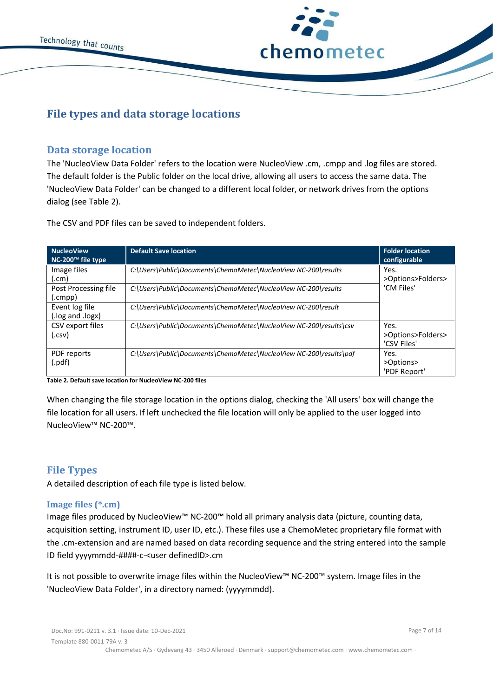

# <span id="page-6-0"></span>**File types and data storage locations**

# <span id="page-6-1"></span>**Data storage location**

The 'NucleoView Data Folder' refers to the location were NucleoView .cm, .cmpp and .log files are stored. The default folder is the Public folder on the local drive, allowing all users to access the same data. The 'NucleoView Data Folder' can be changed to a different local folder, or network drives from the options dialog (see Table 2).

The CSV and PDF files can be saved to independent folders.

| <b>NucleoView</b><br>NC-200 <sup>™</sup> file type | <b>Default Save location</b>                                       | <b>Folder location</b><br>configurable   |
|----------------------------------------------------|--------------------------------------------------------------------|------------------------------------------|
| Image files<br>.cm)                                | C:\Users\Public\Documents\ChemoMetec\NucleoView NC-200\results     | Yes.<br>>Options>Folders>                |
| Post Processing file<br>.cmpp)                     | C:\Users\Public\Documents\ChemoMetec\NucleoView NC-200\results     | 'CM Files'                               |
| Event log file<br>log and .logx).                  | C:\Users\Public\Documents\ChemoMetec\NucleoView NC-200\result      |                                          |
| CSV export files<br>(.csv.                         | C:\Users\Public\Documents\ChemoMetec\NucleoView NC-200\results\csv | Yes.<br>>Options>Folders><br>'CSV Files' |
| PDF reports<br>.pdf)                               | C:\Users\Public\Documents\ChemoMetec\NucleoView NC-200\results\pdf | Yes.<br>>Options><br>'PDF Report'        |

**Table 2. Default save location for NucleoView NC-200 files**

When changing the file storage location in the options dialog, checking the 'All users' box will change the file location for all users. If left unchecked the file location will only be applied to the user logged into NucleoView™ NC-200™.

# <span id="page-6-2"></span>**File Types**

A detailed description of each file type is listed below.

#### **Image files (\*.cm)**

Image files produced by NucleoView™ NC-200™ hold all primary analysis data (picture, counting data, acquisition setting, instrument ID, user ID, etc.). These files use a ChemoMetec proprietary file format with the .cm-extension and are named based on data recording sequence and the string entered into the sample ID field yyyymmdd-####-c-<user definedID>.cm

It is not possible to overwrite image files within the NucleoView™ NC-200™ system. Image files in the 'NucleoView Data Folder', in a directory named: (yyyymmdd).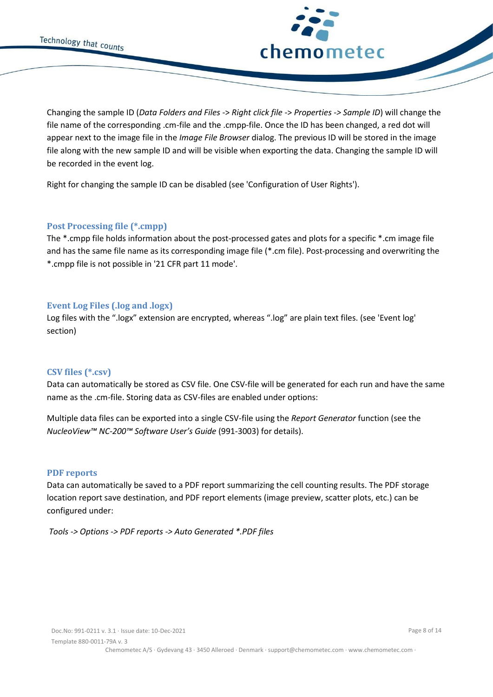



Changing the sample ID (*Data Folders and Files* -> *Right click file* -> *Properties -> Sample ID*) will change the file name of the corresponding .cm-file and the .cmpp-file. Once the ID has been changed, a red dot will appear next to the image file in the *Image File Browser* dialog. The previous ID will be stored in the image file along with the new sample ID and will be visible when exporting the data. Changing the sample ID will be recorded in the event log.

Right for changing the sample ID can be disabled (see 'Configuration of User Rights').

#### **Post Processing file (\*.cmpp)**

The \*.cmpp file holds information about the post-processed gates and plots for a specific \*.cm image file and has the same file name as its corresponding image file (\*.cm file). Post-processing and overwriting the \*.cmpp file is not possible in '21 CFR part 11 mode'.

#### **Event Log Files (.log and .logx)**

Log files with the ".logx" extension are encrypted, whereas ".log" are plain text files. (see 'Event log' section)

#### **CSV files (\*.csv)**

Data can automatically be stored as CSV file. One CSV-file will be generated for each run and have the same name as the .cm-file. Storing data as CSV-files are enabled under options:

Multiple data files can be exported into a single CSV-file using the *Report Generator* function (see the *NucleoView™ NC-200™ Software User's Guide* (991-3003) for details).

#### **PDF reports**

Data can automatically be saved to a PDF report summarizing the cell counting results. The PDF storage location report save destination, and PDF report elements (image preview, scatter plots, etc.) can be configured under:

<span id="page-7-0"></span>*Tools -> Options -> PDF reports -> Auto Generated \*.PDF files*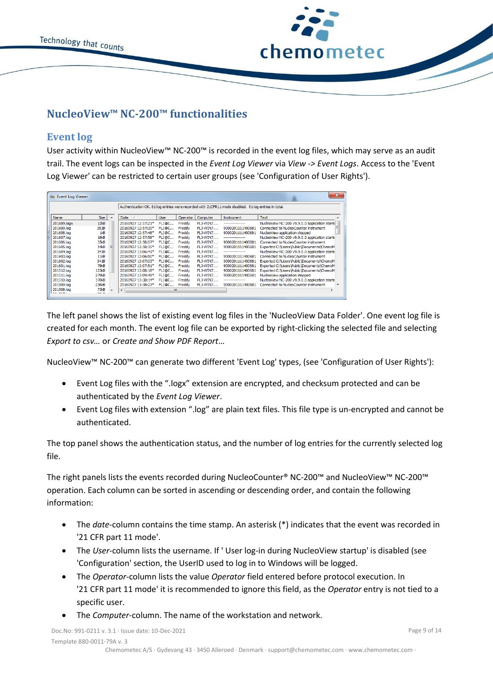



# **NucleoView™ NC-200™ functionalities**

# <span id="page-8-0"></span>**Event log**

User activity within NucleoView™ NC-200™ is recorded in the event log files, which may serve as an audit trail. The event logs can be inspected in the *Event Log Viewer* via *View -> Event Logs*. Access to the 'Event Log Viewer' can be restricted to certain user groups (see 'Configuration of User Rights').

| as Event Log Viewer |                   |                          |                                                                                                      |              |          |                 |                  |                                               | $\overline{\mathbf{x}}$ |
|---------------------|-------------------|--------------------------|------------------------------------------------------------------------------------------------------|--------------|----------|-----------------|------------------|-----------------------------------------------|-------------------------|
|                     |                   |                          | Authentication OK. 61 log entries were recorded with 21CFR11 mode disabled. 61 log entries in total. |              |          |                 |                  |                                               |                         |
| Name                | <b>Size</b>       | $\overline{\phantom{a}}$ | Date                                                                                                 | <b>User</b>  | Operator | Computer        | Instrument       | Text                                          | A                       |
| 201609.logx         | 12kB              |                          | 20160927 12:57:21*                                                                                   | FLJ@C        | Freddy   | FLJ-WIN7        | ---------------- | NucleoView NC-200 v9.9.0.0 application starts |                         |
| 201609.log          | 351B              |                          | 20160927 12:57:30*                                                                                   | <b>FLJ@C</b> | Freddy   | FLJ-WIN7        | 9000201111400681 | Connected to NucleoCounter instrument         | Ξ                       |
| 201608.log          | 1kB               |                          | 20160927 12:57:48*                                                                                   | FLJ@C        | Freddy   | <b>FLJ-WIN7</b> | 9000201111400681 | NucleoView application stopped                |                         |
| 201607.log          | 18kB              |                          | 20160927 12:57:58*                                                                                   | <b>FLJ@C</b> | Freddy   | FLJ-WIN7        | ---------------- | NucleoView NC-200 v9.9.0.0 application starts |                         |
| 201606.log          | 35kB              |                          | 20160927 12:58:07*                                                                                   | FLJ@C        | Freddy   | FLJ-WIN7        | 9000201111400681 | Connected to NucleoCounter instrument         |                         |
| 201605.log          | 14kB              | 티                        | 20160927 12:58:35*                                                                                   | <b>FLJ@C</b> | Freddy   | FLJ-WIN7        | 9000201111400681 | Exported C:\Users\Public\Documents\ChemoM     |                         |
| 201604.log          | 341B              |                          | 20160927 13:06:41*                                                                                   | FLJ@C        | Freddy   | <b>FLI-WIN7</b> | ---------------- | NucleoView NC-200 v9.9.0.0 application starts |                         |
| 201603.log          | 11kB              |                          | 20160927 13:06:50*                                                                                   | <b>FLJ@C</b> | Freddy   | FI 1-WIN7       | 9000201111400681 | Connected to NucleoCounter instrument         |                         |
| 201602.log          | 341B              |                          | 20160927 13:07:03*                                                                                   | FLJ@C        | Freddy   | FLJ-WIN7        | 9000201111400681 | Exported C: \Users\Public\Documents\ChemoM    |                         |
| 201601.log          | 79kB              |                          | 20160927 13:07:51*                                                                                   | FLJ@C        | Freddy   | FLJ-WIN7        | 9000201111400681 | Exported C: \Users\Public\Documents\ChemoM    |                         |
| 201512.log          | 123kB             |                          | 20160927 13:08:18*                                                                                   | <b>FLJ@C</b> | Freddy   | <b>FLJ-WIN7</b> | 9000201111400681 | Exported C: \Users\Public\Documents\ChemoM    |                         |
| 201511.log          | 279 <sub>kB</sub> |                          | 20160927 13:09:48*                                                                                   | <b>FLJ@C</b> | Freddy   | FL1-WIN7        | 9000201111400681 | NucleoView application stopped                |                         |
| 201510.log          | 170 <sub>kB</sub> |                          | 20160927 13:38:14*                                                                                   | <b>FLI@C</b> | Freddy   | FLJ-WIN7        | ---------------- | NucleoView NC-200 v9.9.0.0 application starts |                         |
| 201509.log          | 236kB             |                          | 20160927 13:38:23*                                                                                   | FLJ@C        | Freddy   | FLJ-WIN7        | 9000201111400681 | Connected to NucleoCounter instrument         |                         |
| 201508.log          | 73kB<br>$- - -$   |                          | $\epsilon$                                                                                           | ш            |          |                 |                  |                                               |                         |

The left panel shows the list of existing event log files in the 'NucleoView Data Folder'. One event log file is created for each month. The event log file can be exported by right-clicking the selected file and selecting *Export to csv…* or *Create and Show PDF Report*…

NucleoView™ NC-200™ can generate two different 'Event Log' types, (see 'Configuration of User Rights'):

- Event Log files with the ".logx" extension are encrypted, and checksum protected and can be authenticated by the *Event Log Viewer*.
- Event Log files with extension ".log" are plain text files. This file type is un-encrypted and cannot be authenticated.

The top panel shows the authentication status, and the number of log entries for the currently selected log file.

The right panels lists the events recorded during NucleoCounter® NC-200™ and NucleoView™ NC-200™ operation. Each column can be sorted in ascending or descending order, and contain the following information:

- The *date*-column contains the time stamp. An asterisk (\*) indicates that the event was recorded in '21 CFR part 11 mode'.
- The *User*-column lists the username. If ' User log-in during NucleoView startup' is disabled (see 'Configuration' section, the UserID used to log in to Windows will be logged.
- The *Operator*-column lists the value *Operator* field entered before protocol execution. In '21 CFR part 11 mode' it is recommended to ignore this field, as the *Operator* entry is not tied to a specific user.
- The *Computer*-column. The name of the workstation and network.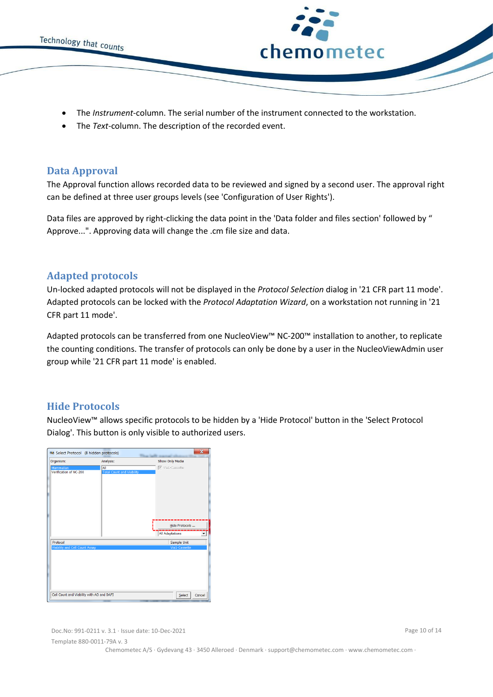



- The *Instrument*-column. The serial number of the instrument connected to the workstation.
- <span id="page-9-0"></span>• The *Text*-column. The description of the recorded event.

### **Data Approval**

The Approval function allows recorded data to be reviewed and signed by a second user. The approval right can be defined at three user groups levels (see 'Configuration of User Rights').

Data files are approved by right-clicking the data point in the 'Data folder and files section' followed by " Approve...". Approving data will change the .cm file size and data.

# <span id="page-9-1"></span>**Adapted protocols**

Un-locked adapted protocols will not be displayed in the *Protocol Selection* dialog in '21 CFR part 11 mode'. Adapted protocols can be locked with the *Protocol Adaptation Wizard*, on a workstation not running in '21 CFR part 11 mode'.

Adapted protocols can be transferred from one NucleoView™ NC-200™ installation to another, to replicate the counting conditions. The transfer of protocols can only be done by a user in the NucleoViewAdmin user group while '21 CFR part 11 mode' is enabled.

# <span id="page-9-2"></span>**Hide Protocols**

NucleoView™ allows specific protocols to be hidden by a 'Hide Protocol' button in the 'Select Protocol Dialog'. This button is only visible to authorized users.

| Select Protocol (8 hidden protocols)                                                    |                                         | $\overline{\mathbf{z}}$                                   |
|-----------------------------------------------------------------------------------------|-----------------------------------------|-----------------------------------------------------------|
| Organism:                                                                               | Analysis:                               | Show Only Media                                           |
| Mammalian<br>Verification of NC-200                                                     | All<br><b>Total Count and Viability</b> | Via1-Cassette<br>Hide Protocols<br><b>All Adaptations</b> |
| Protocol<br>Viability and Cell Count Assay<br>Cell Count and Viability with AO and DAPI |                                         | Sample Unit<br>Via1-Cassette<br>Select<br>Cancel          |

Doc.No: 991-0211 v. 3.1 · Issue date: 10-Dec-2021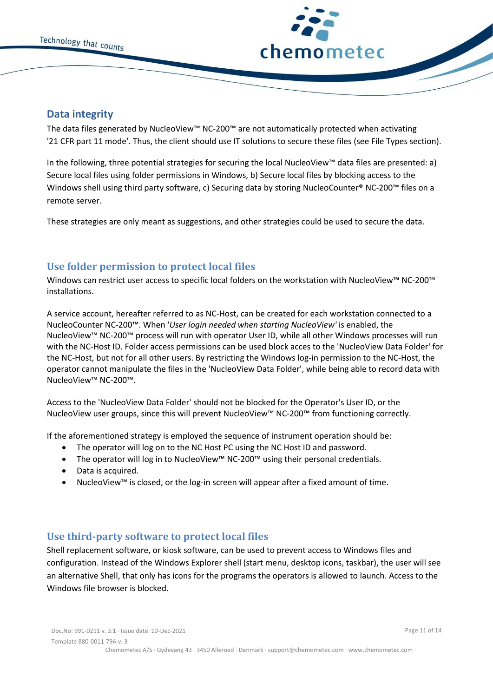



## <span id="page-10-0"></span>**Data integrity**

The data files generated by NucleoView™ NC-200™ are not automatically protected when activating '21 CFR part 11 mode'. Thus, the client should use IT solutions to secure these files (see File Types section).

In the following, three potential strategies for securing the local NucleoView™ data files are presented: a) Secure local files using folder permissions in Windows, b) Secure local files by blocking access to the Windows shell using third party software, c) Securing data by storing NucleoCounter® NC-200<sup>™</sup> files on a remote server.

These strategies are only meant as suggestions, and other strategies could be used to secure the data.

# <span id="page-10-1"></span>**Use folder permission to protect local files**

Windows can restrict user access to specific local folders on the workstation with NucleoView™ NC-200™ installations.

A service account, hereafter referred to as NC-Host, can be created for each workstation connected to a NucleoCounter NC-200™. When '*User login needed when starting NucleoView'* is enabled, the NucleoView™ NC-200™ process will run with operator User ID, while all other Windows processes will run with the NC-Host ID. Folder access permissions can be used block acces to the 'NucleoView Data Folder' for the NC-Host, but not for all other users. By restricting the Windows log-in permission to the NC-Host, the operator cannot manipulate the files in the 'NucleoView Data Folder', while being able to record data with NucleoView™ NC-200™.

Access to the 'NucleoView Data Folder' should not be blocked for the Operator's User ID, or the NucleoView user groups, since this will prevent NucleoView™ NC-200™ from functioning correctly.

If the aforementioned strategy is employed the sequence of instrument operation should be:

- The operator will log on to the NC Host PC using the NC Host ID and password.
- The operator will log in to NucleoView™ NC-200™ using their personal credentials.
- Data is acquired.
- NucleoView™ is closed, or the log-in screen will appear after a fixed amount of time.

# <span id="page-10-2"></span>**Use third-party software to protect local files**

Shell replacement software, or kiosk software, can be used to prevent access to Windows files and configuration. Instead of the Windows Explorer shell (start menu, desktop icons, taskbar), the user will see an alternative Shell, that only has icons for the programs the operators is allowed to launch. Access to the Windows file browser is blocked.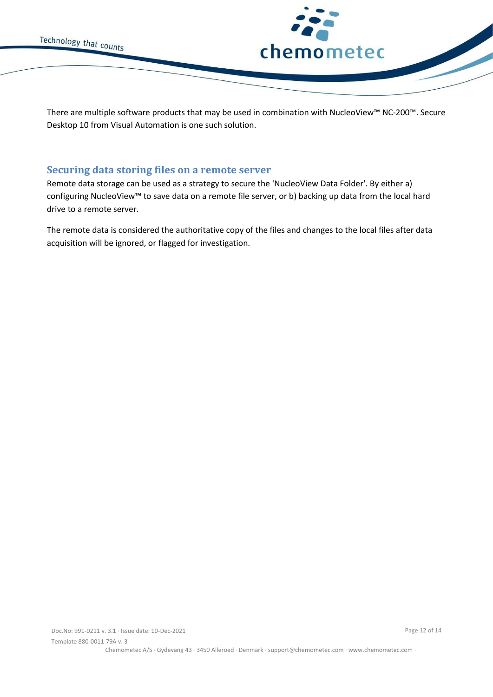

There are multiple software products that may be used in combination with NucleoView™ NC-200™. Secure Desktop 10 from Visual Automation is one such solution.

# <span id="page-11-0"></span>**Securing data storing files on a remote server**

Remote data storage can be used as a strategy to secure the 'NucleoView Data Folder'. By either a) configuring NucleoView™ to save data on a remote file server, or b) backing up data from the local hard drive to a remote server.

The remote data is considered the authoritative copy of the files and changes to the local files after data acquisition will be ignored, or flagged for investigation.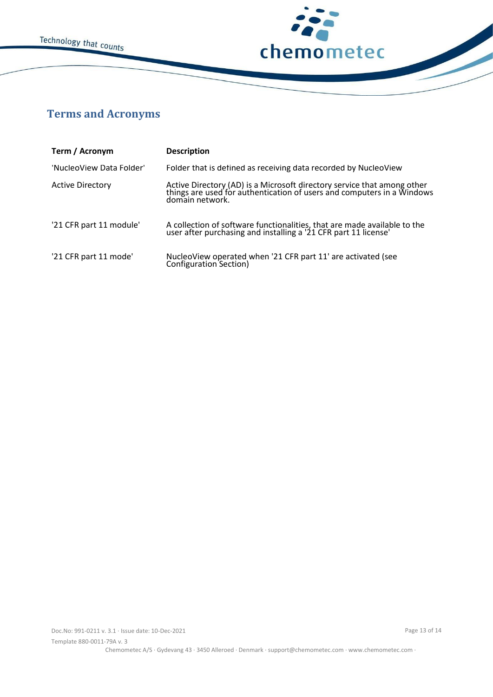



# <span id="page-12-0"></span>**Terms and Acronyms**

| Term / Acronym           | <b>Description</b>                                                                                                                                                   |
|--------------------------|----------------------------------------------------------------------------------------------------------------------------------------------------------------------|
| 'NucleoView Data Folder' | Folder that is defined as receiving data recorded by NucleoView                                                                                                      |
| <b>Active Directory</b>  | Active Directory (AD) is a Microsoft directory service that among other<br>things are used for authentication of users and computers in a Windows<br>domain network. |
| '21 CFR part 11 module'  | A collection of software functionalities, that are made available to the user after purchasing and installing a '21 CFR part 11 license'                             |
| '21 CFR part 11 mode'    | NucleoView operated when '21 CFR part 11' are activated (see<br>Configuration Section)                                                                               |